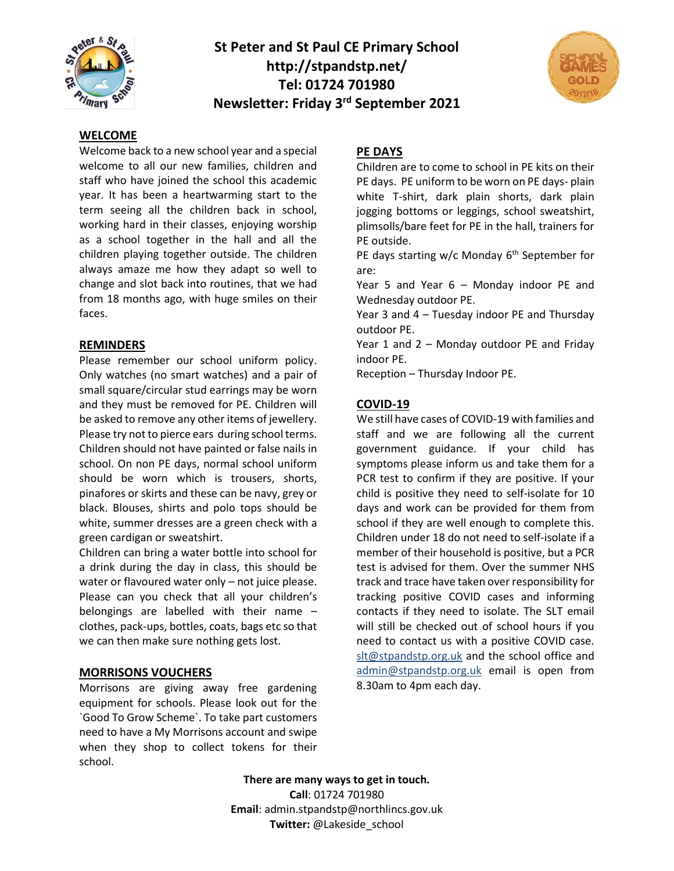

# **St Peter and St Paul CE Primary School http://stpandstp.net/ Tel: 01724 701980 Newsletter: Friday 3rd September 2021**



#### **WELCOME**

Welcome back to a new school year and a special welcome to all our new families, children and staff who have joined the school this academic year. It has been a heartwarming start to the term seeing all the children back in school, working hard in their classes, enjoying worship as a school together in the hall and all the children playing together outside. The children always amaze me how they adapt so well to change and slot back into routines, that we had from 18 months ago, with huge smiles on their faces.

#### **REMINDERS**

Please remember our school uniform policy. Only watches (no smart watches) and a pair of small square/circular stud earrings may be worn and they must be removed for PE. Children will be asked to remove any other items of jewellery. Please try not to pierce ears during school terms. Children should not have painted or false nails in school. On non PE days, normal school uniform should be worn which is trousers, shorts, pinafores or skirts and these can be navy, grey or black. Blouses, shirts and polo tops should be white, summer dresses are a green check with a green cardigan or sweatshirt.

Children can bring a water bottle into school for a drink during the day in class, this should be water or flavoured water only – not juice please. Please can you check that all your children's belongings are labelled with their name – clothes, pack-ups, bottles, coats, bags etc so that we can then make sure nothing gets lost.

# **MORRISONS VOUCHERS**

Morrisons are giving away free gardening equipment for schools. Please look out for the `Good To Grow Scheme`. To take part customers need to have a My Morrisons account and swipe when they shop to collect tokens for their school.

### **PE DAYS**

Children are to come to school in PE kits on their PE days. PE uniform to be worn on PE days- plain white T-shirt, dark plain shorts, dark plain jogging bottoms or leggings, school sweatshirt, plimsolls/bare feet for PE in the hall, trainers for PE outside.

PE days starting  $w/c$  Monday  $6<sup>th</sup>$  September for are:

Year 5 and Year 6 – Monday indoor PE and Wednesday outdoor PE.

Year 3 and 4 – Tuesday indoor PE and Thursday outdoor PE.

Year 1 and 2 – Monday outdoor PE and Friday indoor PE.

Reception – Thursday Indoor PE.

#### **COVID-19**

We still have cases of COVID-19 with families and staff and we are following all the current government guidance. If your child has symptoms please inform us and take them for a PCR test to confirm if they are positive. If your child is positive they need to self-isolate for 10 days and work can be provided for them from school if they are well enough to complete this. Children under 18 do not need to self-isolate if a member of their household is positive, but a PCR test is advised for them. Over the summer NHS track and trace have taken over responsibility for tracking positive COVID cases and informing contacts if they need to isolate. The SLT email will still be checked out of school hours if you need to contact us with a positive COVID case. [slt@stpandstp.org.uk](mailto:slt@stpandstp.org.uk) and the school office and [admin@stpandstp.org.uk](mailto:admin@stpandstp.org.uk) email is open from 8.30am to 4pm each day.

**There are many ways to get in touch. Call**: 01724 701980 **Email**: admin.stpandstp@northlincs.gov.uk **Twitter:** @Lakeside\_school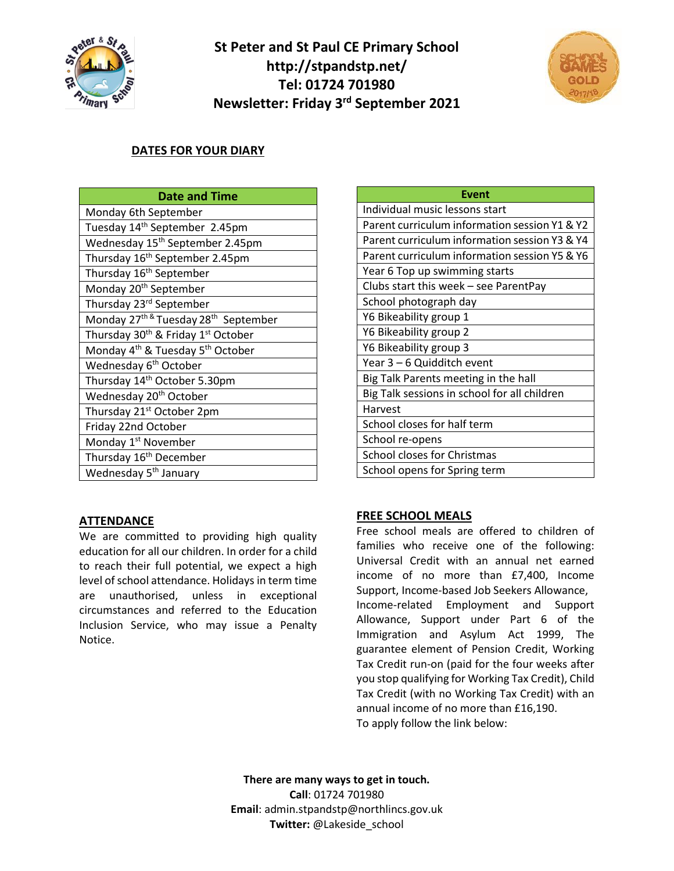

# **St Peter and St Paul CE Primary School http://stpandstp.net/ Tel: 01724 701980 Newsletter: Friday 3rd September 2021**



# **DATES FOR YOUR DIARY**

| <b>Date and Time</b>                                             |
|------------------------------------------------------------------|
| Monday 6th September                                             |
| Tuesday 14 <sup>th</sup> September 2.45pm                        |
| Wednesday 15 <sup>th</sup> September 2.45pm                      |
| Thursday 16 <sup>th</sup> September 2.45pm                       |
| Thursday 16 <sup>th</sup> September                              |
| Monday 20 <sup>th</sup> September                                |
| Thursday 23rd September                                          |
| Monday 27 <sup>th &amp;</sup> Tuesday 28 <sup>th</sup> September |
| Thursday 30 <sup>th</sup> & Friday 1 <sup>st</sup> October       |
| Monday 4 <sup>th</sup> & Tuesday 5 <sup>th</sup> October         |
| Wednesday 6 <sup>th</sup> October                                |
| Thursday 14 <sup>th</sup> October 5.30pm                         |
| Wednesday 20 <sup>th</sup> October                               |
| Thursday 21 <sup>st</sup> October 2pm                            |
| Friday 22nd October                                              |
| Monday 1 <sup>st</sup> November                                  |
| Thursday 16 <sup>th</sup> December                               |
| Wednesday 5 <sup>th</sup> January                                |

| Event                                         |
|-----------------------------------------------|
| Individual music lessons start                |
| Parent curriculum information session Y1 & Y2 |
| Parent curriculum information session Y3 & Y4 |
| Parent curriculum information session Y5 & Y6 |
| Year 6 Top up swimming starts                 |
| Clubs start this week - see ParentPay         |
| School photograph day                         |
| Y6 Bikeability group 1                        |
| Y6 Bikeability group 2                        |
| Y6 Bikeability group 3                        |
| Year 3 - 6 Quidditch event                    |
| Big Talk Parents meeting in the hall          |
| Big Talk sessions in school for all children  |
| Harvest                                       |
| School closes for half term                   |
| School re-opens                               |
| School closes for Christmas                   |
| School opens for Spring term                  |

# **ATTENDANCE**

We are committed to providing high quality education for all our children. In order for a child to reach their full potential, we expect a high level of school attendance. Holidays in term time are unauthorised, unless in exceptional circumstances and referred to the Education Inclusion Service, who may issue a Penalty Notice.

# **FREE SCHOOL MEALS**

Free school meals are offered to children of families who receive one of the following: Universal Credit with an annual net earned income of no more than £7,400, Income Support, Income-based Job Seekers Allowance, Income-related Employment and Support Allowance, Support under Part 6 of the Immigration and Asylum Act 1999, The guarantee element of Pension Credit, Working Tax Credit run-on (paid for the four weeks after you stop qualifying for Working Tax Credit), Child Tax Credit (with no Working Tax Credit) with an annual income of no more than £16,190. To apply follow the link below:

**There are many ways to get in touch. Call**: 01724 701980 **Email**: admin.stpandstp@northlincs.gov.uk **Twitter:** @Lakeside\_school